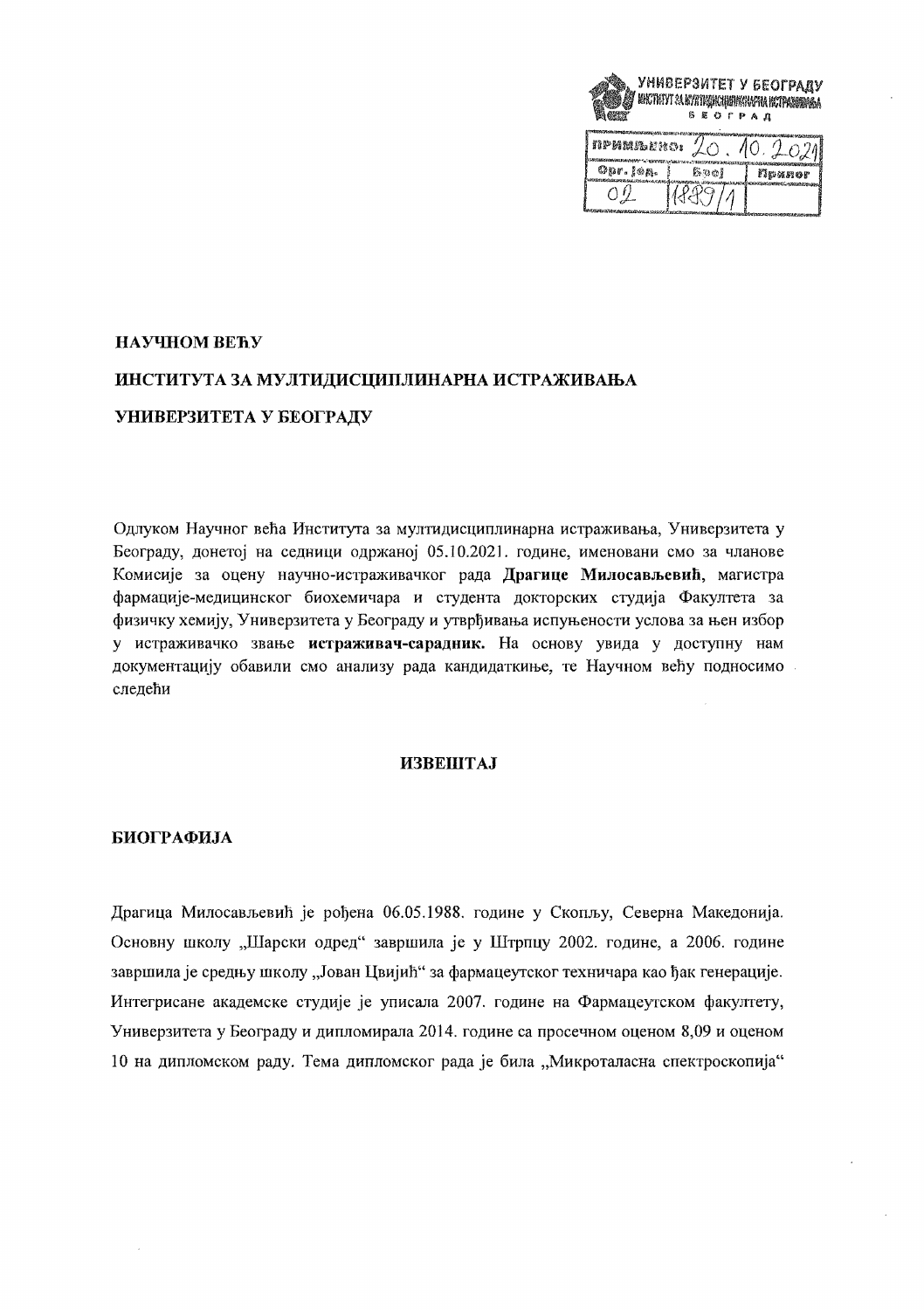

| nphareno.              |     |        |
|------------------------|-----|--------|
| $\mathcal{O}$ pr. jøg. | 医泪的 | Приног |
|                        |     |        |

# НАУЧНОМ ВЕЋУ ИНСТИТУТА ЗА МУЛТИДИСЦИПЛИНАРНА ИСТРАЖИВАЊА УНИВЕРЗИТЕТА У БЕОГРАДУ

Одлуком Научног већа Института за мултидисциплинарна истраживања. Универзитета у Београду, донетој на седници одржаној 05.10.2021. године, именовани смо за чланове Комисије за оцену научно-истраживачког рада Драгице Милосављевић, магистра фармације-медицинског биохемичара и студента докторских студија Факултета за физичку хемију. Универзитета у Београду и утврђивања испуњености услова за њен избор у истраживачко звање истраживач-сарадник. На основу увида у доступну нам документацију обавили смо анализу рада кандидаткиње, те Научном већу подносимо следећи

### **ИЗВЕШТАЈ**

## БИОГРАФИЈА

Драгица Милосављевић је рођена 06.05.1988. године у Скопљу, Северна Македонија. Основну школу "Шарски одред" завршила је у Штрпцу 2002. године, а 2006. године завршила је средњу школу "Јован Цвијић" за фармацеутског техничара као ђак генерације. Интегрисане академске студије је уписала 2007. године на Фармацеутском факултету, Универзитета у Београду и дипломирала 2014. године са просечном оценом 8,09 и оценом 10 на дипломском раду. Тема дипломског рада је била "Микроталасна спектроскопија"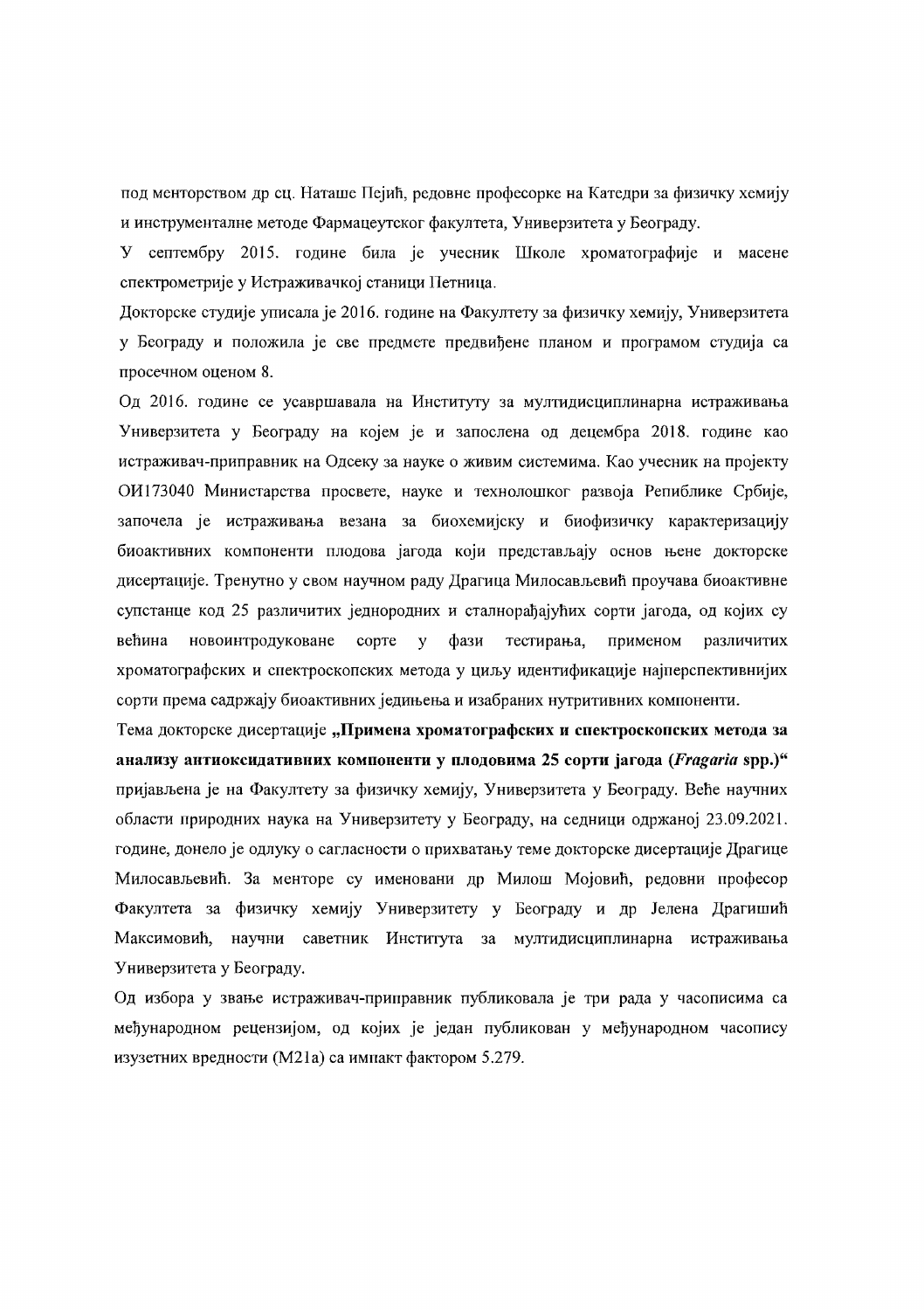под менторством др сц. Наташе Пејић, редовне професорке на Катедри за физичку хемију и инструменталне методе Фармацеутског факултета, Универзитета у Београду.

У септембру 2015. године била је учесник Школе хроматографије и масене спектрометрије у Истраживачкој станици Петница.

Докторске студије уписала је 2016. године на Факултету за физичку хемију, Универзитета у Београду и положила је све предмете предвиђене планом и програмом студија са просечном оценом 8.

Од 2016. године се усавршавала на Институту за мултидисциплинарна истраживања Универзитета у Београду на којем је и запослена од децембра 2018. године као истраживач-приправник на Одсеку за науке о живим системима. Као учесник на пројекту ОИ173040 Министарства просвете, науке и технолошког развоја Репиблике Србије, започела је истраживања везана за биохемијску и биофизичку карактеризацију биоактивних компоненти плодова јагода који представљају основ њене докторске дисертације. Тренутно у свом научном раду Драгица Милосављевић проучава биоактивне супстанце код 25 различитих једнородних и сталнорађајућих сорти јагода, од којих су већина новоинтродуковане copre фази тестирања, применом различитих  $\mathbf{v}$ хроматографских и спектроскопских метода у циљу идентификације најперспективнијих сорти према садржају биоактивних једињења и изабраних нутритивних компоненти.

Тема докторске дисертације "Примена хроматографских и спектроскопских метода за анализу антиоксидативних компоненти у плодовима 25 сорти јагода (Fragaria spp.)" пријављена је на Факултету за физичку хемију, Универзитета у Београду. Веће научних области природних наука на Универзитету у Београду, на седници одржаној 23.09.2021. године, донело је одлуку о сагласности о прихватању теме докторске дисертације Драгице Милосављевић. За менторе су именовани др Милош Мојовић, редовни професор Факултета за физичку хемију Универзитету у Београду и др Јелена Драгишић Максимовић, научни саветник Института за мултидисциплинарна истраживања Универзитета у Београду.

Од избора у звање истраживач-приправник публиковала је три рада у часописима са међународном рецензијом, од којих је један публикован у међународном часопису изузетних вредности (М21а) са импакт фактором 5.279.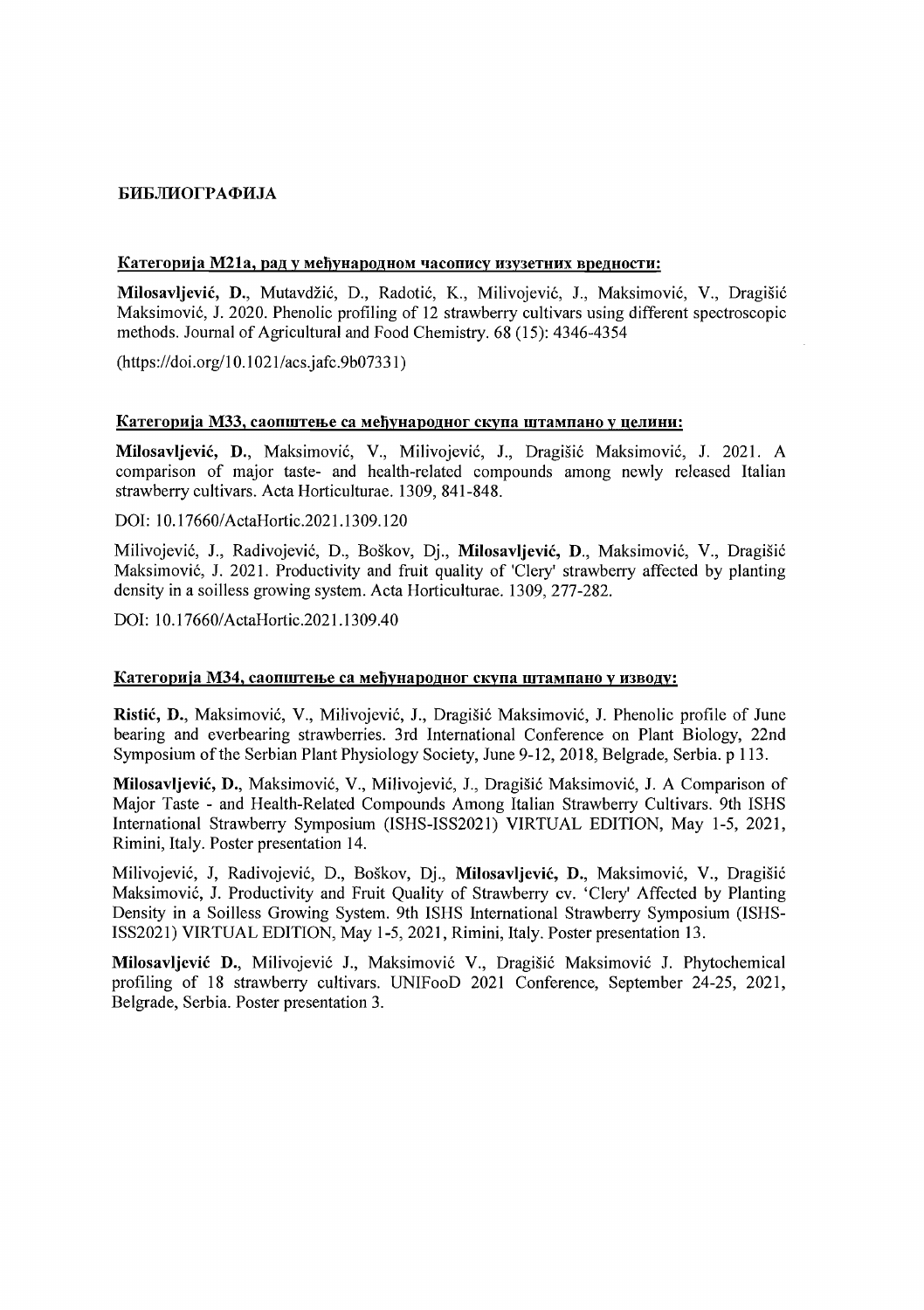## **БИБЛИОГРАФИЛА**

#### Категорија М21а, рад у међународном часопису изузетних вредности:

Milosavljević, D., Mutavdžić, D., Radotić, K., Milivojević, J., Maksimović, V., Dragišić Maksimovi6, 1. 2020. Phenolic profiling of 12 strawberry cultivars using different spectroscopic methods. Journal of Agricultural and Food Chemistry. 68 (15): 4346-4354

 $(htips://doi.org/10.1021/acs.iafc.9b07331)$ 

### Категорија М33, саопштење са међународног скупа штампано у целини:

Milosavljević, D., Maksimović, V., Milivojević, J., Dragišić Maksimović, J. 2021. A comparison of major taste- and health-related compounds among newly released Italian strawberry cultivars. Acta Horticulturae. 1309, 841-848.

DOI: 10.17660/ActaHortic.2021.1309.120

Milivojević, J., Radivojević, D., Boškov, Dj., Milosavljević, D., Maksimović, V., Dragišić Maksimović, J. 2021. Productivity and fruit quality of 'Clery' strawberry affected by planting density in a soilless growing system. Acta Horticulturae. 1309, 277-282.

DOI: 10.17660/ActaHortic.2021.1309.40

#### Категорија М34, саопштење са међународног скупа штампано у изводу:

Ristić, D., Maksimović, V., Milivojević, J., Dragišić Maksimović, J. Phenolic profile of June bearing and everbearing strawberries. 3rd International Conference on Plant Biology, 22nd Symposium of the Serbian Plant Physiology Society, June 9-12, 2018, Belgrade, Serbia. p 113.

Milosavljević, D., Maksimović, V., Milivojević, J., Dragišić Maksimović, J. A Comparison of Major Taste - and Health-Related Compounds Among Italian Strawberry Cultivars. 9th ISHS International Strawberry Symposium (ISHS-ISS2021) VIRTUAL EDITION, May 1-5, 2021, Rimini, Italy. Poster presentation 14.

Milivojević, J, Radivojević, D., Boškov, Dj., Milosavljević, D., Maksimović, V., Dragišić Maksimović, J. Productivity and Fruit Quality of Strawberry cv. 'Clery' Affected by Planting Density in a Soilless Growing System. 9th ISHS International Strawberry Symposium (lSHS-ISS2021) VIRTUAL EDITION, May 1-5, 2021, Rimini, Italy. Poster presentation 13.

Milosavljević D., Milivojević J., Maksimović V., Dragišić Maksimović J. Phytochemical profiling of 18 strawberry cultivars. UNIFooD 2021 Conference, September 24-25, 2021, Belgrade, Serbia. Poster presentation 3.